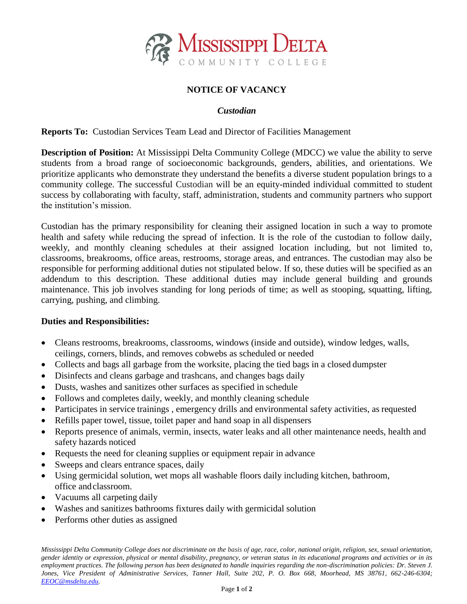

# **NOTICE OF VACANCY**

### *Custodian*

**Reports To:** Custodian Services Team Lead and Director of Facilities Management

**Description of Position:** At Mississippi Delta Community College (MDCC) we value the ability to serve students from a broad range of socioeconomic backgrounds, genders, abilities, and orientations. We prioritize applicants who demonstrate they understand the benefits a diverse student population brings to a community college. The successful Custodian will be an equity-minded individual committed to student success by collaborating with faculty, staff, administration, students and community partners who support the institution's mission.

Custodian has the primary responsibility for cleaning their assigned location in such a way to promote health and safety while reducing the spread of infection. It is the role of the custodian to follow daily, weekly, and monthly cleaning schedules at their assigned location including, but not limited to, classrooms, breakrooms, office areas, restrooms, storage areas, and entrances. The custodian may also be responsible for performing additional duties not stipulated below. If so, these duties will be specified as an addendum to this description. These additional duties may include general building and grounds maintenance. This job involves standing for long periods of time; as well as stooping, squatting, lifting, carrying, pushing, and climbing.

#### **Duties and Responsibilities:**

- Cleans restrooms, breakrooms, classrooms, windows (inside and outside), window ledges, walls, ceilings, corners, blinds, and removes cobwebs as scheduled or needed
- Collects and bags all garbage from the worksite, placing the tied bags in a closed dumpster
- Disinfects and cleans garbage and trashcans, and changes bags daily
- Dusts, washes and sanitizes other surfaces as specified in schedule
- Follows and completes daily, weekly, and monthly cleaning schedule
- Participates in service trainings , emergency drills and environmental safety activities, as requested
- Refills paper towel, tissue, toilet paper and hand soap in all dispensers
- Reports presence of animals, vermin, insects, water leaks and all other maintenance needs, health and safety hazards noticed
- Requests the need for cleaning supplies or equipment repair in advance
- Sweeps and clears entrance spaces, daily
- Using germicidal solution, wet mops all washable floors daily including kitchen, bathroom, office andclassroom.
- Vacuums all carpeting daily
- Washes and sanitizes bathrooms fixtures daily with germicidal solution
- Performs other duties as assigned

*Mississippi Delta Community College does not discriminate on the basis of age, race, color, national origin, religion, sex, sexual orientation, gender identity or expression, physical or mental disability, pregnancy, or veteran status in its educational programs and activities or in its employment practices. The following person has been designated to handle inquiries regarding the non-discrimination policies: Dr. Steven J. Jones, Vice President of Administrative Services, Tanner Hall, Suite 202, P. O. Box 668, Moorhead, MS 38761, 662-246-6304; [EEOC@msdelta.edu.](mailto:EEOC@msdelta.edu)*